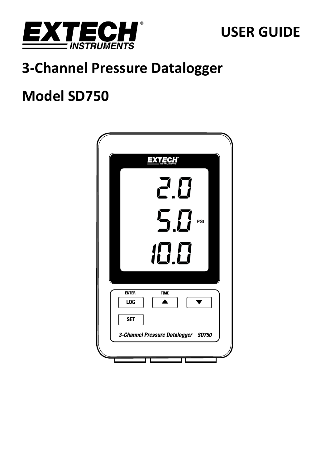

# **USER GUIDE**

# **3‐Channel Pressure Datalogger**

# **Model SD750**

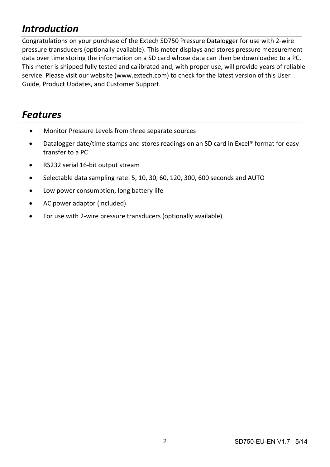# *Introduction*

Congratulations on your purchase of the Extech SD750 Pressure Datalogger for use with 2‐wire pressure transducers (optionally available). This meter displays and stores pressure measurement data over time storing the information on a SD card whose data can then be downloaded to a PC. This meter is shipped fully tested and calibrated and, with proper use, will provide years of reliable service. Please visit our website (www.extech.com) to check for the latest version of this User Guide, Product Updates, and Customer Support.

# *Features*

- Monitor Pressure Levels from three separate sources
- Datalogger date/time stamps and stores readings on an SD card in Excel® format for easy transfer to a PC
- RS232 serial 16-bit output stream
- Selectable data sampling rate: 5, 10, 30, 60, 120, 300, 600 seconds and AUTO
- Low power consumption, long battery life
- AC power adaptor (included)
- For use with 2-wire pressure transducers (optionally available)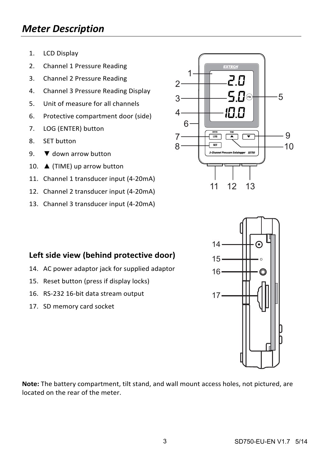# *Meter Description*

- 1. LCD Display
- 2. Channel 1 Pressure Reading
- 3. Channel 2 Pressure Reading
- 4. Channel 3 Pressure Reading Display
- 5. Unit of measure for all channels
- 6. Protective compartment door (side)
- 7. LOG (ENTER) button
- 8. SET button
- 9.  $\blacktriangledown$  down arrow button
- 10. ▲ (TIME) up arrow button
- 11. Channel 1 transducer input (4‐20mA)
- 12. Channel 2 transducer input (4‐20mA)
- 13. Channel 3 transducer input (4‐20mA)



## **Left side view (behind protective door)**

- 14. AC power adaptor jack for supplied adaptor
- 15. Reset button (press if display locks)
- 16. RS‐232 16‐bit data stream output
- 17. SD memory card socket



**Note:** The battery compartment, tilt stand, and wall mount access holes, not pictured, are located on the rear of the meter.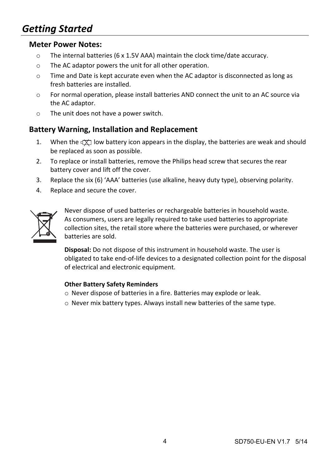# *Getting Started*

#### **Meter Power Notes:**

- $\circ$  The internal batteries (6 x 1.5V AAA) maintain the clock time/date accuracy.
- o The AC adaptor powers the unit for all other operation.
- $\circ$  Time and Date is kept accurate even when the AC adaptor is disconnected as long as fresh batteries are installed.
- o For normal operation, please install batteries AND connect the unit to an AC source via the AC adaptor.
- o The unit does not have a power switch.

#### **Battery Warning, Installation and Replacement**

- 1. When the  $\frac{d}{dx}$  low battery icon appears in the display, the batteries are weak and should be replaced as soon as possible.
- 2. To replace or install batteries, remove the Philips head screw that secures the rear battery cover and lift off the cover.
- 3. Replace the six (6) 'AAA' batteries (use alkaline, heavy duty type), observing polarity.
- 4. Replace and secure the cover.



Never dispose of used batteries or rechargeable batteries in household waste. As consumers, users are legally required to take used batteries to appropriate collection sites, the retail store where the batteries were purchased, or wherever batteries are sold.

**Disposal:** Do not dispose of this instrument in household waste. The user is obligated to take end‐of‐life devices to a designated collection point for the disposal of electrical and electronic equipment.

#### **Other Battery Safety Reminders**

- o Never dispose of batteries in a fire. Batteries may explode or leak.
- o Never mix battery types. Always install new batteries of the same type.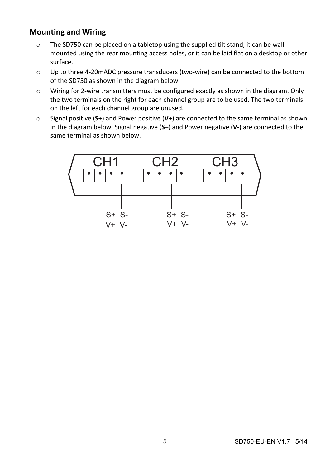### **Mounting and Wiring**

- o The SD750 can be placed on a tabletop using the supplied tilt stand, it can be wall mounted using the rear mounting access holes, or it can be laid flat on a desktop or other surface.
- o Up to three 4‐20mADC pressure transducers (two‐wire) can be connected to the bottom of the SD750 as shown in the diagram below.
- o Wiring for 2‐wire transmitters must be configured exactly as shown in the diagram. Only the two terminals on the right for each channel group are to be used. The two terminals on the left for each channel group are unused.
- o Signal positive (**S+**) and Power positive (**V+**) are connected to the same terminal as shown in the diagram below. Signal negative (**S–**) and Power negative (**V‐**) are connected to the same terminal as shown below.

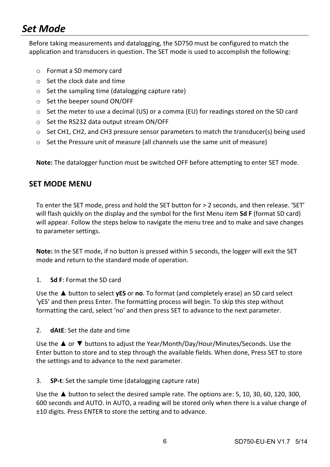# *Set Mode*

Before taking measurements and datalogging, the SD750 must be configured to match the application and transducers in question. The SET mode is used to accomplish the following:

- o Format a SD memory card
- o Set the clock date and time
- o Set the sampling time (datalogging capture rate)
- o Set the beeper sound ON/OFF
- $\circ$  Set the meter to use a decimal (US) or a comma (EU) for readings stored on the SD card
- o Set the RS232 data output stream ON/OFF
- $\circ$  Set CH1, CH2, and CH3 pressure sensor parameters to match the transducer(s) being used
- o Set the Pressure unit of measure (all channels use the same unit of measure)

**Note:** The datalogger function must be switched OFF before attempting to enter SET mode.

#### **SET MODE MENU**

To enter the SET mode, press and hold the SET button for > 2 seconds, and then release. 'SET' will flash quickly on the display and the symbol for the first Menu item **Sd F** (format SD card) will appear. Follow the steps below to navigate the menu tree and to make and save changes to parameter settings.

**Note:** In the SET mode, if no button is pressed within 5 seconds, the logger will exit the SET mode and return to the standard mode of operation.

#### 1. **Sd F**: Format the SD card

Use the ▲ button to select **yES** or **no**. To format (and completely erase) an SD card select 'yES' and then press Enter. The formatting process will begin. To skip this step without formatting the card, select 'no' and then press SET to advance to the next parameter.

2. **dAtE**: Set the date and time

Use the ▲ or ▼ buttons to adjust the Year/Month/Day/Hour/Minutes/Seconds. Use the Enter button to store and to step through the available fields. When done, Press SET to store the settings and to advance to the next parameter.

3. **SP‐t**: Set the sample time (datalogging capture rate)

Use the  $\triangle$  button to select the desired sample rate. The options are: 5, 10, 30, 60, 120, 300, 600 seconds and AUTO. In AUTO, a reading will be stored only when there is a value change of ±10 digits. Press ENTER to store the setting and to advance.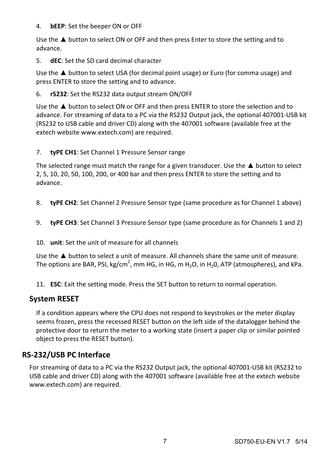#### 4. **bEEP**: Set the beeper ON or OFF

Use the  $\triangle$  button to select ON or OFF and then press Enter to store the setting and to advance.

5. **dEC**: Set the SD card decimal character

Use the  $\triangle$  button to select USA (for decimal point usage) or Euro (for comma usage) and press ENTER to store the setting and to advance.

6. **rS232**: Set the RS232 data output stream ON/OFF

Use the ▲ button to select ON or OFF and then press ENTER to store the selection and to advance. For streaming of data to a PC via the RS232 Output jack, the optional 407001‐USB kit (RS232 to USB cable and driver CD) along with the 407001 software (available free at the extech website www.extech.com) are required.

7. **tyPE CH1**: Set Channel 1 Pressure Sensor range

The selected range must match the range for a given transducer. Use the ▲ button to select 2, 5, 10, 20, 50, 100, 200, or 400 bar and then press ENTER to store the setting and to advance.

- 8. **tyPE CH2**: Set Channel 2 Pressure Sensor type (same procedure as for Channel 1 above)
- 9. **tyPE CH3**: Set Channel 3 Pressure Sensor type (same procedure as for Channels 1 and 2)
- 10. **unit**: Set the unit of measure for all channels

Use the ▲ button to select a unit of measure. All channels share the same unit of measure. The options are BAR, PSI, kg/cm<sup>2</sup>, mm HG, in HG, m H<sub>2</sub>O, in H<sub>2</sub>O, ATP (atmospheres), and kPa.

11. **ESC**: Exit the setting mode. Press the SET button to return to normal operation.

### **System RESET**

If a condition appears where the CPU does not respond to keystrokes or the meter display seems frozen, press the recessed RESET button on the left side of the datalogger behind the protective door to return the meter to a working state (insert a paper clip or similar pointed object to press the RESET button).

### **RS‐232/USB PC Interface**

For streaming of data to a PC via the RS232 Output jack, the optional 407001‐USB kit (RS232 to USB cable and driver CD) along with the 407001 software (available free at the extech website www.extech.com) are required.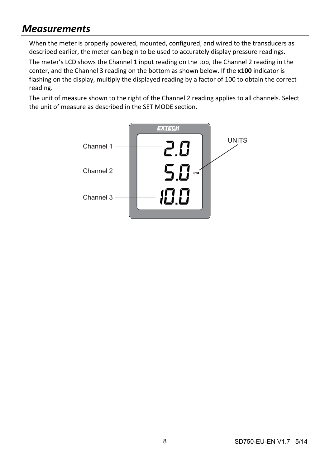# *Measurements*

When the meter is properly powered, mounted, configured, and wired to the transducers as described earlier, the meter can begin to be used to accurately display pressure readings.

The meter's LCD shows the Channel 1 input reading on the top, the Channel 2 reading in the center, and the Channel 3 reading on the bottom as shown below. If the **x100** indicator is flashing on the display, multiply the displayed reading by a factor of 100 to obtain the correct reading.

The unit of measure shown to the right of the Channel 2 reading applies to all channels. Select the unit of measure as described in the SET MODE section.

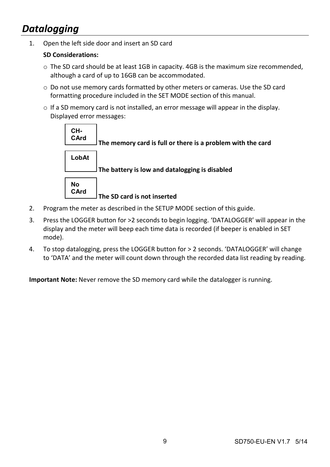# *Datalogging*

1. Open the left side door and insert an SD card

#### **SD Considerations:**

- o The SD card should be at least 1GB in capacity. 4GB is the maximum size recommended, although a card of up to 16GB can be accommodated.
- o Do not use memory cards formatted by other meters or cameras. Use the SD card formatting procedure included in the SET MODE section of this manual.
- $\circ$  If a SD memory card is not installed, an error message will appear in the display. Displayed error messages:



- 2. Program the meter as described in the SETUP MODE section of this guide.
- 3. Press the LOGGER button for >2 seconds to begin logging. 'DATALOGGER' will appear in the display and the meter will beep each time data is recorded (if beeper is enabled in SET mode).
- 4. To stop datalogging, press the LOGGER button for > 2 seconds. 'DATALOGGER' will change to 'DATA' and the meter will count down through the recorded data list reading by reading.

**Important Note:** Never remove the SD memory card while the datalogger is running.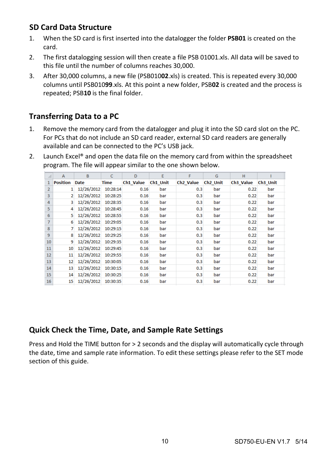### **SD Card Data Structure**

- 1. When the SD card is first inserted into the datalogger the folder **PSB01** is created on the card.
- 2. The first datalogging session will then create a file PSB 01001.xls. All data will be saved to this file until the number of columns reaches 30,000.
- 3. After 30,000 columns, a new file (PSB010**02**.xls) is created. This is repeated every 30,000 columns until PSB010**99**.xls. At this point a new folder, PSB**02** is created and the process is repeated; PSB**10** is the final folder.

### **Transferring Data to a PC**

- 1. Remove the memory card from the datalogger and plug it into the SD card slot on the PC. For PCs that do not include an SD card reader, external SD card readers are generally available and can be connected to the PC's USB jack.
- 2. Launch Excel® and open the data file on the memory card from within the spreadsheet program. The file will appear similar to the one shown below.

| ⊿              | A               | B           | C        | D         | E        | F                     | G                    | н                     |          |
|----------------|-----------------|-------------|----------|-----------|----------|-----------------------|----------------------|-----------------------|----------|
|                | <b>Position</b> | <b>Date</b> | Time     | Ch1 Value | Ch1 Unit | Ch <sub>2</sub> Value | Ch <sub>2</sub> Unit | Ch <sub>3</sub> Value | Ch3 Unit |
| $\overline{2}$ | 1               | 12/26/2012  | 10:28:14 | 0.16      | bar      | 0.3                   | bar                  | 0.22                  | bar      |
| 3              | $\overline{2}$  | 12/26/2012  | 10:28:25 | 0.16      | bar      | 0.3                   | bar                  | 0.22                  | bar      |
| 4              | 3               | 12/26/2012  | 10:28:35 | 0.16      | bar      | 0.3                   | bar                  | 0.22                  | bar      |
| 5              | 4               | 12/26/2012  | 10:28:45 | 0.16      | bar      | 0.3                   | bar                  | 0.22                  | bar      |
| 6              | 5               | 12/26/2012  | 10:28:55 | 0.16      | bar      | 0.3                   | bar                  | 0.22                  | bar      |
| $\overline{7}$ | 6               | 12/26/2012  | 10:29:05 | 0.16      | bar      | 0.3                   | bar                  | 0.22                  | bar      |
| 8              | 7               | 12/26/2012  | 10:29:15 | 0.16      | bar      | 0.3                   | bar                  | 0.22                  | bar      |
| $\overline{9}$ | 8               | 12/26/2012  | 10:29:25 | 0.16      | bar      | 0.3                   | bar                  | 0.22                  | bar      |
| 10             | 9               | 12/26/2012  | 10:29:35 | 0.16      | bar      | 0.3                   | bar                  | 0.22                  | bar      |
| 11             | 10              | 12/26/2012  | 10:29:45 | 0.16      | bar      | 0.3                   | bar                  | 0.22                  | bar      |
| 12             | 11              | 12/26/2012  | 10:29:55 | 0.16      | bar      | 0.3                   | bar                  | 0.22                  | bar      |
| 13             | 12 <sup>2</sup> | 12/26/2012  | 10:30:05 | 0.16      | bar      | 0.3                   | bar                  | 0.22                  | bar      |
| 14             | 13              | 12/26/2012  | 10:30:15 | 0.16      | bar      | 0.3                   | bar                  | 0.22                  | bar      |
| 15             | 14              | 12/26/2012  | 10:30:25 | 0.16      | bar      | 0.3                   | bar                  | 0.22                  | bar      |
| 16             | 15              | 12/26/2012  | 10:30:35 | 0.16      | bar      | 0.3                   | bar                  | 0.22                  | bar      |

### **Quick Check the Time, Date, and Sample Rate Settings**

Press and Hold the TIME button for > 2 seconds and the display will automatically cycle through the date, time and sample rate information. To edit these settings please refer to the SET mode section of this guide.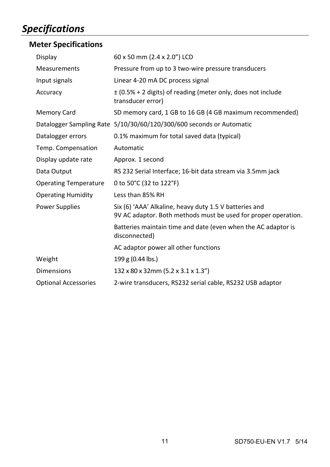# *Specifications*

## **Meter Specifications**

| Display                      | 60 x 50 mm (2.4 x 2.0") LCD                                                                                              |
|------------------------------|--------------------------------------------------------------------------------------------------------------------------|
| Measurements                 | Pressure from up to 3 two-wire pressure transducers                                                                      |
| Input signals                | Linear 4-20 mA DC process signal                                                                                         |
| Accuracy                     | $\pm$ (0.5% + 2 digits) of reading (meter only, does not include<br>transducer error)                                    |
| <b>Memory Card</b>           | SD memory card, 1 GB to 16 GB (4 GB maximum recommended)                                                                 |
|                              | Datalogger Sampling Rate 5/10/30/60/120/300/600 seconds or Automatic                                                     |
| Datalogger errors            | 0.1% maximum for total saved data (typical)                                                                              |
| Temp. Compensation           | Automatic                                                                                                                |
| Display update rate          | Approx. 1 second                                                                                                         |
| Data Output                  | RS 232 Serial Interface; 16-bit data stream via 3.5mm jack                                                               |
| <b>Operating Temperature</b> | 0 to 50°C (32 to 122°F)                                                                                                  |
| <b>Operating Humidity</b>    | Less than 85% RH                                                                                                         |
| <b>Power Supplies</b>        | Six (6) 'AAA' Alkaline, heavy duty 1.5 V batteries and<br>9V AC adaptor. Both methods must be used for proper operation. |
|                              | Batteries maintain time and date (even when the AC adaptor is<br>disconnected)                                           |
|                              | AC adaptor power all other functions                                                                                     |
| Weight                       | 199 g (0.44 lbs.)                                                                                                        |
| <b>Dimensions</b>            | 132 x 80 x 32mm (5.2 x 3.1 x 1.3")                                                                                       |
| <b>Optional Accessories</b>  | 2-wire transducers, RS232 serial cable, RS232 USB adaptor                                                                |
|                              |                                                                                                                          |